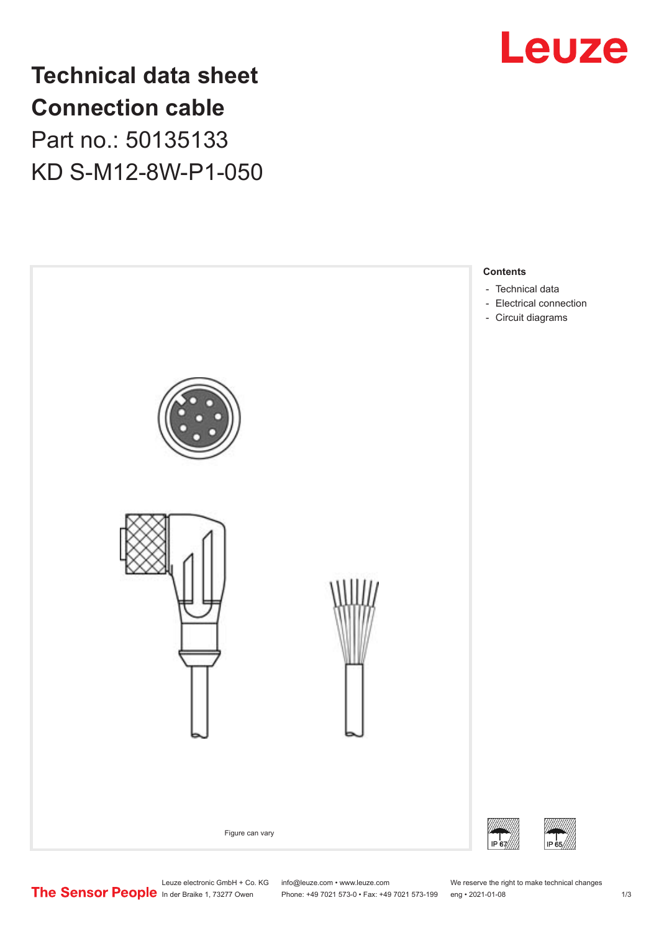

**Technical data sheet Connection cable** Part no.: 50135133 KD S-M12-8W-P1-050



Leuze electronic GmbH + Co. KG info@leuze.com • www.leuze.com We reserve the right to make technical changes<br>
The Sensor People in der Braike 1, 73277 Owen Phone: +49 7021 573-0 • Fax: +49 7021 573-199 eng • 2021-01-08

Phone: +49 7021 573-0 • Fax: +49 7021 573-199 eng • 2021-01-08 1 m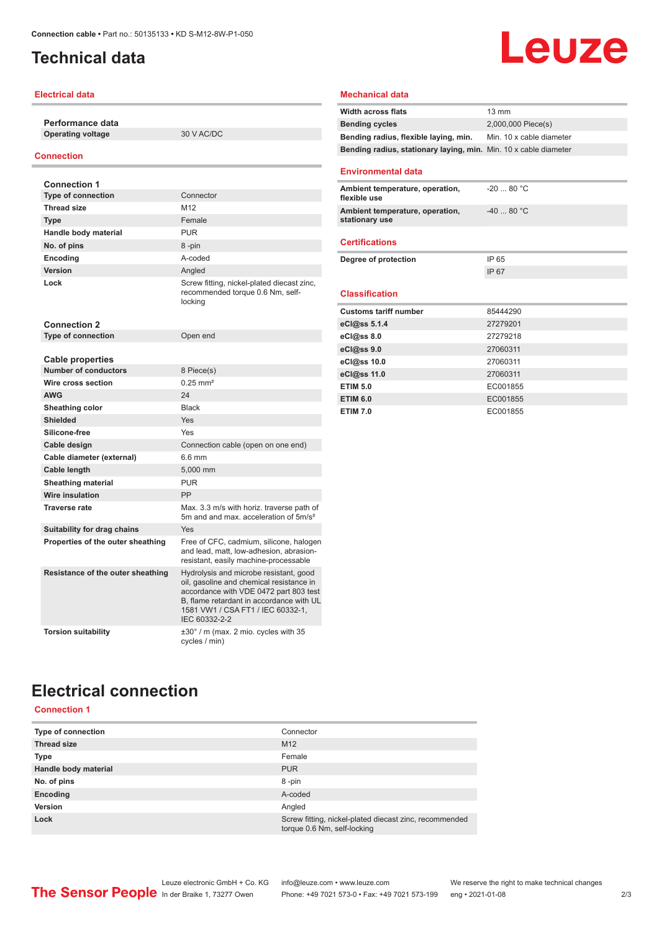## <span id="page-1-0"></span>**Technical data**

### **Electrical data**

**Performance data Operating voltage** 30 V AC/DC

#### **Connection**

| <b>Connection 1</b>               |                                                                                                                                                                                                                                |
|-----------------------------------|--------------------------------------------------------------------------------------------------------------------------------------------------------------------------------------------------------------------------------|
| <b>Type of connection</b>         | Connector                                                                                                                                                                                                                      |
| <b>Thread size</b>                | M <sub>12</sub>                                                                                                                                                                                                                |
| <b>Type</b>                       | Female                                                                                                                                                                                                                         |
| Handle body material              | <b>PUR</b>                                                                                                                                                                                                                     |
| No. of pins                       | 8-pin                                                                                                                                                                                                                          |
| Encoding                          | A-coded                                                                                                                                                                                                                        |
| Version                           | Analed                                                                                                                                                                                                                         |
| Lock                              | Screw fitting, nickel-plated diecast zinc,<br>recommended torque 0.6 Nm, self-<br>locking                                                                                                                                      |
| <b>Connection 2</b>               |                                                                                                                                                                                                                                |
| <b>Type of connection</b>         | Open end                                                                                                                                                                                                                       |
|                                   |                                                                                                                                                                                                                                |
| <b>Cable properties</b>           |                                                                                                                                                                                                                                |
| <b>Number of conductors</b>       | 8 Piece(s)                                                                                                                                                                                                                     |
| Wire cross section                | $0.25$ mm <sup>2</sup>                                                                                                                                                                                                         |
| <b>AWG</b>                        | 24                                                                                                                                                                                                                             |
| Sheathing color                   | <b>Black</b>                                                                                                                                                                                                                   |
| <b>Shielded</b>                   | Yes                                                                                                                                                                                                                            |
| Silicone-free                     | Yes                                                                                                                                                                                                                            |
| Cable design                      | Connection cable (open on one end)                                                                                                                                                                                             |
| Cable diameter (external)         | 6.6 mm                                                                                                                                                                                                                         |
| Cable length                      | 5.000 mm                                                                                                                                                                                                                       |
| Sheathing material                | <b>PUR</b>                                                                                                                                                                                                                     |
| <b>Wire insulation</b>            | PP                                                                                                                                                                                                                             |
| <b>Traverse rate</b>              | Max, 3.3 m/s with horiz, traverse path of<br>5m and and max, acceleration of 5m/s <sup>2</sup>                                                                                                                                 |
| Suitability for drag chains       | Yes                                                                                                                                                                                                                            |
| Properties of the outer sheathing | Free of CFC, cadmium, silicone, halogen<br>and lead, matt, low-adhesion, abrasion-<br>resistant, easily machine-processable                                                                                                    |
| Resistance of the outer sheathing | Hydrolysis and microbe resistant, good<br>oil, gasoline and chemical resistance in<br>accordance with VDE 0472 part 803 test<br>B. flame retardant in accordance with UL<br>1581 VW1 / CSA FT1 / IEC 60332-1,<br>IEC 60332-2-2 |
| <b>Torsion suitability</b>        | $\pm 30^\circ$ / m (max. 2 mio. cycles with 35<br>cycles / min)                                                                                                                                                                |

# **Leuze**

#### **Mechanical data**

| <b>Width across flats</b>                                        | 13 mm                    |  |
|------------------------------------------------------------------|--------------------------|--|
| <b>Bending cycles</b>                                            | 2,000,000 Piece(s)       |  |
| Bending radius, flexible laying, min.                            | Min. 10 x cable diameter |  |
| Bending radius, stationary laying, min. Min. 10 x cable diameter |                          |  |
| <b>Environmental data</b>                                        |                          |  |
| Ambient temperature, operation,<br>flexible use                  | $-2080 °C$               |  |
| Ambient temperature, operation,<br>stationary use                | $-40.80 °C$              |  |
| <b>Certifications</b>                                            |                          |  |
| Degree of protection                                             | IP 65                    |  |
|                                                                  | IP 67                    |  |
| <b>Classification</b>                                            |                          |  |
| <b>Customs tariff number</b>                                     | 85444290                 |  |
| eCl@ss 5.1.4                                                     | 27279201                 |  |
| eCl@ss 8.0                                                       | 27279218                 |  |
| eCl@ss 9.0                                                       | 27060311                 |  |
| eCl@ss 10.0                                                      | 27060311                 |  |
| eCl@ss 11.0                                                      | 27060311                 |  |
| <b>ETIM 5.0</b>                                                  | EC001855                 |  |
| <b>ETIM 6.0</b>                                                  | EC001855                 |  |
| <b>ETIM 7.0</b>                                                  | EC001855                 |  |

# **Electrical connection**

## **Connection 1**

| Type of connection   | Connector                                                                             |
|----------------------|---------------------------------------------------------------------------------------|
| <b>Thread size</b>   | M <sub>12</sub>                                                                       |
| Type                 | Female                                                                                |
| Handle body material | <b>PUR</b>                                                                            |
| No. of pins          | 8-pin                                                                                 |
| Encoding             | A-coded                                                                               |
| Version              | Angled                                                                                |
| Lock                 | Screw fitting, nickel-plated diecast zinc, recommended<br>torque 0.6 Nm, self-locking |